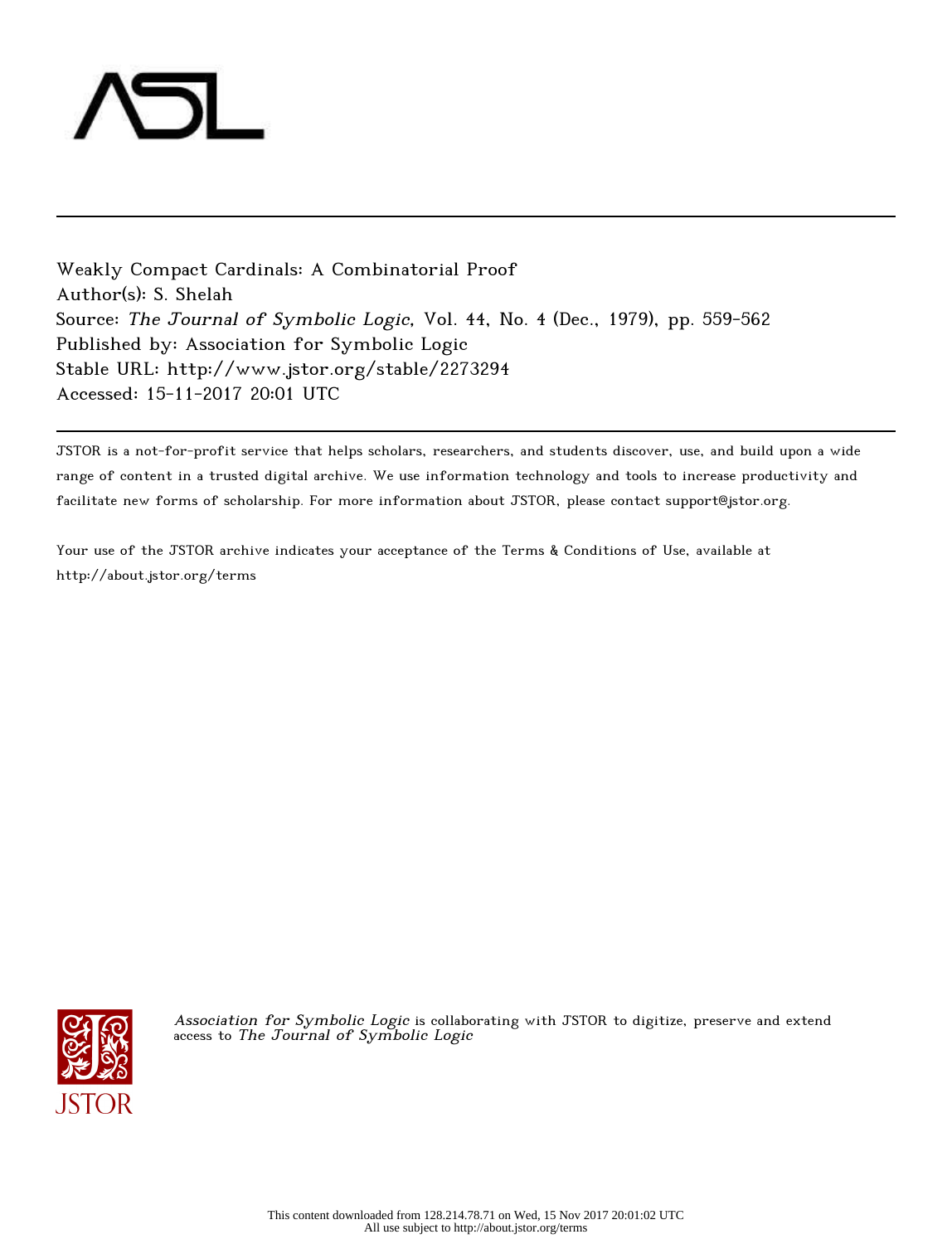

Weakly Compact Cardinals: A Combinatorial Proof Author(s): S. Shelah Source: The Journal of Symbolic Logic, Vol. 44, No. 4 (Dec., 1979), pp. 559-562 Published by: Association for Symbolic Logic Stable URL: http://www.jstor.org/stable/2273294 Accessed: 15-11-2017 20:01 UTC

JSTOR is a not-for-profit service that helps scholars, researchers, and students discover, use, and build upon a wide range of content in a trusted digital archive. We use information technology and tools to increase productivity and facilitate new forms of scholarship. For more information about JSTOR, please contact support@jstor.org.

Your use of the JSTOR archive indicates your acceptance of the Terms & Conditions of Use, available at http://about.jstor.org/terms



Association for Symbolic Logic is collaborating with JSTOR to digitize, preserve and extend access to The Journal of Symbolic Logic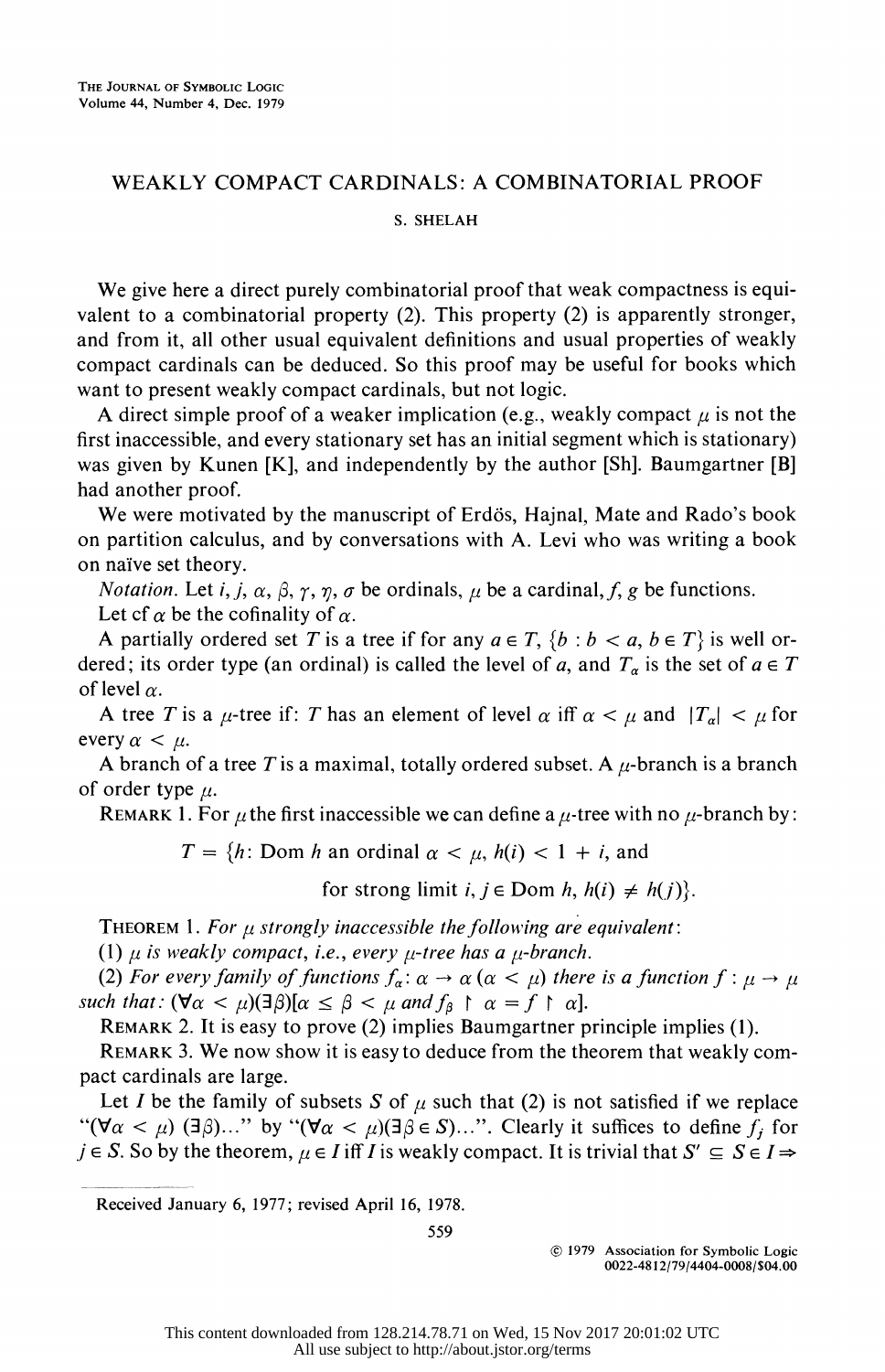## WEAKLY COMPACT CARDINALS: A COMBINATORIAL PROOF S. SHELAH

 We give here a direct purely combinatorial proof that weak compactness is equi valent to a combinatorial property (2). This property (2) is apparently stronger, and from it, all other usual equivalent definitions and usual properties of weakly compact cardinals can be deduced. So this proof may be useful for books which want to present weakly compact cardinals, but not logic.

A direct simple proof of a weaker implication (e.g., weakly compact  $\mu$  is not the first inaccessible, and every stationary set has an initial segment which is stationary) was given by Kunen [K], and independently by the author [Sh]. Baumgartner [B] had another proof.

We were motivated by the manuscript of Erdös, Hajnal, Mate and Rado's book on partition calculus, and by conversations with A. Levi who was writing a book on naive set theory.

*Notation.* Let *i*, *j*,  $\alpha$ ,  $\beta$ ,  $\gamma$ ,  $\eta$ ,  $\sigma$  be ordinals,  $\mu$  be a cardinal, *f*, g be functions. Let cf  $\alpha$  be the cofinality of  $\alpha$ .

A partially ordered set T is a tree if for any  $a \in T$ ,  $\{b : b < a, b \in T\}$  is well ordered; its order type (an ordinal) is called the level of a, and  $T_a$  is the set of  $a \in T$ of level  $\alpha$ .

A tree T is a  $\mu$ -tree if: T has an element of level  $\alpha$  iff  $\alpha < \mu$  and  $|T_{\alpha}| < \mu$  for every  $\alpha < \mu$ .

A branch of a tree T is a maximal, totally ordered subset. A  $\mu$ -branch is a branch of order type  $\mu$ .

REMARK 1. For  $\mu$  the first inaccessible we can define a  $\mu$ -tree with no  $\mu$ -branch by:

 $T = \{h: \text{Dom } h \text{ an ordinal } \alpha < \mu, h(i) < 1 + i, \text{ and} \}$ 

for strong limit  $i, j \in \text{Dom } h, h(i) \neq h(j)$ .

THEOREM 1. For  $\mu$  strongly inaccessible the following are equivalent:

(1)  $\mu$  is weakly compact, i.e., every  $\mu$ -tree has a  $\mu$ -branch.

(2) For every family of functions  $f_{\alpha}: \alpha \to \alpha$  ( $\alpha < \mu$ ) there is a function  $f: \mu \to \mu$ such that:  $(\forall \alpha < \mu)(\exists \beta)[\alpha \leq \beta < \mu \text{ and } f_{\beta} \upharpoonright \alpha = f \upharpoonright \alpha].$ 

REMARK 2. It is easy to prove (2) implies Baumgartner principle implies (1).

 REMARK 3. We now show it is easy to deduce from the theorem that weakly com pact cardinals are large.

Let I be the family of subsets S of  $\mu$  such that (2) is not satisfied if we replace " $(\forall \alpha < \mu)$  ( $\exists \beta$ )..." by " $(\forall \alpha < \mu)$  ( $\exists \beta \in S$ )...". Clearly it suffices to define  $f_j$  for  $j \in S$ . So by the theorem,  $\mu \in I$  iff I is weakly compact. It is trivial that  $S' \subseteq S \in I \Rightarrow$ 

Received January 6, 1977; revised April 16, 1978.

559

 ? 1979 Association for Symbolic Logic 0022-48 12/79/4404-0008/\$04.00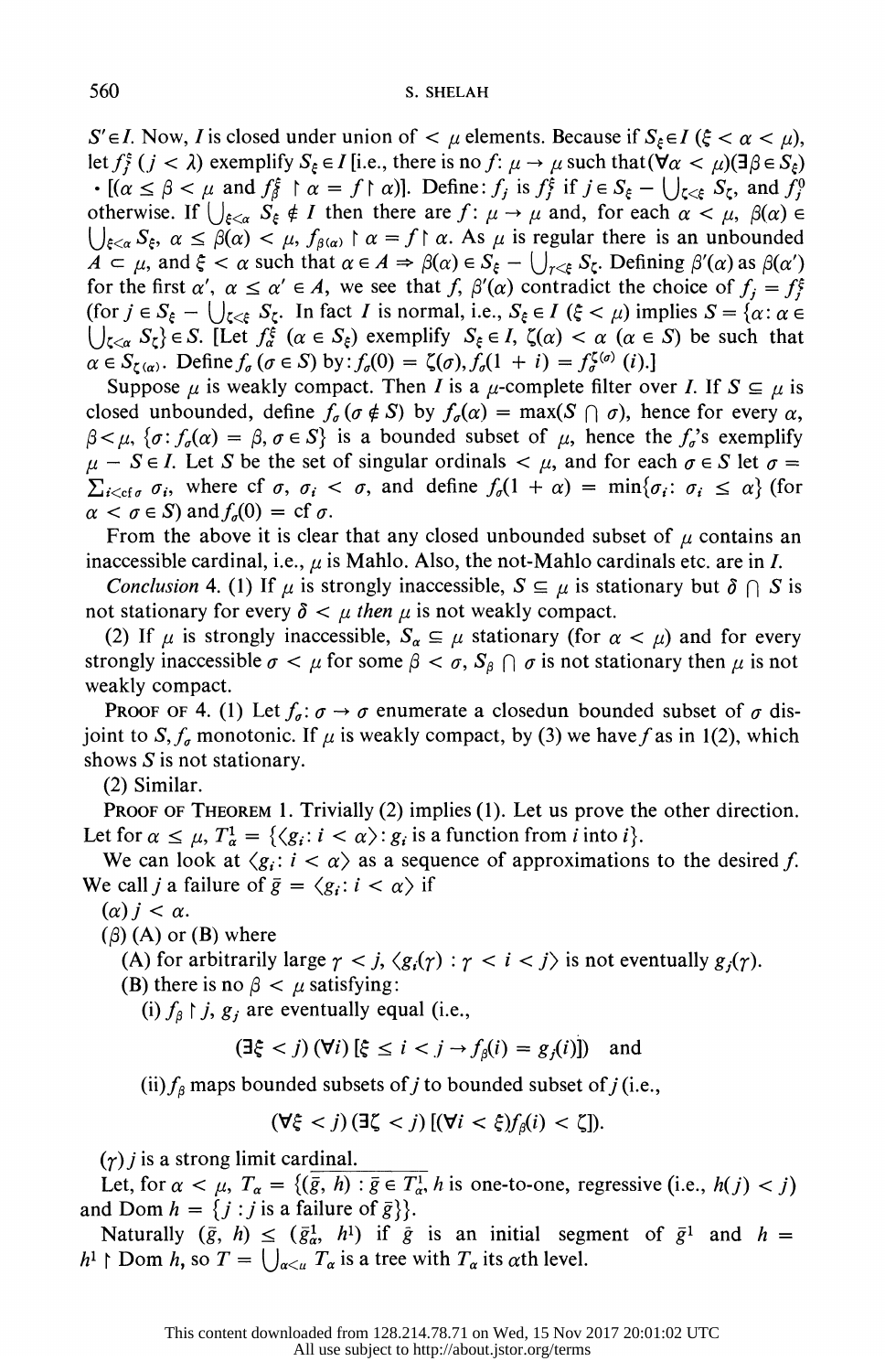$S' \in I$ . Now, I is closed under union of  $\lt \mu$  elements. Because if  $S_{\xi} \in I$  ( $\xi < \alpha < \mu$ ), let  $f_i^{\xi}$   $(j < \lambda)$  exemplify  $S_{\xi} \in I$  [i.e., there is no  $f: \mu \to \mu$  such that  $(\forall \alpha < \mu)(\exists \beta \in S_{\xi})$  $\cdot$  [( $\alpha \le \beta < \mu$  and  $f_{\beta}^{\xi} \restriction \alpha = f \restriction \alpha$ )]. Define:  $f_j$  is  $f_j^{\xi}$  if  $j \in S_{\xi} - \bigcup_{\zeta < \xi} S_{\zeta}$ , and  $f_j^0$ otherwise. If  $\bigcup_{\xi<\alpha} S_{\xi} \notin I$  then there are  $f: \mu \to \mu$  and, for each  $\alpha < \mu$ ,  $\beta(\alpha) \in$  $\bigcup_{\xi<\alpha}S_{\xi}, \alpha\leq\beta(\alpha)<\mu, f_{\beta(\alpha)}\upharpoonright\alpha=f\upharpoonright\alpha.$  As  $\mu$  is regular there is an unbounded  $A \subset \mu$ , and  $\xi < \alpha$  such that  $\alpha \in A \Rightarrow \beta(\alpha) \in S_{\xi} - \bigcup_{\gamma < \xi} S_{\zeta}$ . Defining  $\beta'(\alpha)$  as  $\beta(\alpha')$ for the first  $\alpha'$ ,  $\alpha \le \alpha' \in A$ , we see that f,  $\beta'(\alpha)$  contradict the choice of  $f_i = f_i^{\xi}$ (for  $j \in S_{\xi} - \bigcup_{\zeta \leq \xi} S_{\zeta}$ . In fact *I* is normal, i.e.,  $S_{\xi} \in I$  ( $\xi < \mu$ ) implies  $S = \{ \alpha : \alpha \in I \}$  $\bigcup_{\zeta<\alpha} S_{\zeta}\}\in S$ . [Let  $f_{\alpha}^{\xi}$  ( $\alpha\in S_{\xi}$ ) exemplify  $S_{\xi}\in I$ ,  $\zeta(\alpha)<\alpha$  ( $\alpha\in S$ ) be such that  $\alpha \in S_{\zeta(\alpha)}$ . Define  $f_{\alpha}(\sigma \in S)$  by:  $f_{\alpha}(0) = \zeta(\sigma), f_{\alpha}(1 + i) = f_{\alpha}^{\zeta(\sigma)}(i)$ .]

Suppose  $\mu$  is weakly compact. Then *I* is a  $\mu$ -complete filter over *I*. If  $S \subseteq \mu$  is closed unbounded, define  $f_{\sigma}(\sigma \notin S)$  by  $f_{\sigma}(\alpha) = \max(S \cap \sigma)$ , hence for every  $\alpha$ ,  $\beta < \mu$ ,  $\{\sigma : f_{\sigma}(\alpha) = \beta, \sigma \in S\}$  is a bounded subset of  $\mu$ , hence the  $f_{\sigma}$ 's exemplify  $\mu - S \in I$ . Let S be the set of singular ordinals  $\lt \mu$ , and for each  $\sigma \in S$  let  $\sigma =$  $\sum_{i < cf \sigma} \sigma_i$ , where cf  $\sigma$ ,  $\sigma_i < \sigma$ , and define  $f_o(1 + \alpha) = \min{\{\sigma_i : \sigma_i \leq \alpha\}}$  (for  $\alpha < \sigma \in S$ ) and  $f_{\sigma}(0) = cf \sigma$ .

From the above it is clear that any closed unbounded subset of  $\mu$  contains an inaccessible cardinal, i.e.,  $\mu$  is Mahlo. Also, the not-Mahlo cardinals etc. are in I.

Conclusion 4. (1) If  $\mu$  is strongly inaccessible,  $S \subseteq \mu$  is stationary but  $\delta \cap S$  is not stationary for every  $\delta < \mu$  then  $\mu$  is not weakly compact.

(2) If  $\mu$  is strongly inaccessible,  $S_{\alpha} \subseteq \mu$  stationary (for  $\alpha < \mu$ ) and for every strongly inaccessible  $\sigma < \mu$  for some  $\beta < \sigma$ ,  $S_\beta \cap \sigma$  is not stationary then  $\mu$  is not weakly compact.

**PROOF OF 4.** (1) Let  $f_{\sigma}$ :  $\sigma \rightarrow \sigma$  enumerate a closedun bounded subset of  $\sigma$  disjoint to S,  $f_a$  monotonic. If  $\mu$  is weakly compact, by (3) we have f as in 1(2), which shows  $S$  is not stationary.

(2) Similar.

PROOF OF THEOREM 1. Trivially (2) implies (1). Let us prove the other direction. Let for  $\alpha \leq \mu$ ,  $T^1_{\alpha} = {\langle \langle g_i : i \langle \alpha \rangle : g_i \rangle}$  is a function from *i* into *i*}.

We can look at  $\langle g_i : i \rangle \langle \alpha \rangle$  as a sequence of approximations to the desired f. We call *j* a failure of  $\bar{g} = \langle g_i : i < \alpha \rangle$  if

 $(\alpha) j < \alpha$ .

 $(\beta)$  (A) or (B) where

(A) for arbitrarily large  $\gamma < j$ ,  $\langle g_i(\gamma) : \gamma < i < j \rangle$  is not eventually  $g_i(\gamma)$ .

(B) there is no  $\beta < \mu$  satisfying:

(i)  $f_{\beta} \upharpoonright j$ ,  $g_i$  are eventually equal (i.e.,

$$
(\exists \xi < j) \, (\forall i) \, [\xi \le i < j \to f_\beta(i) = g_j(i)] \quad \text{and} \quad
$$

(ii)  $f_\beta$  maps bounded subsets of j to bounded subset of j (i.e.,

$$
(\forall \xi < j) (\exists \zeta < j) [(\forall i < \xi) f_{\beta}(i) < \zeta]).
$$

 $(\gamma)$  *j* is a strong limit cardinal.

Let, for  $\alpha < \mu$ ,  $T_{\alpha} = \{(\overline{\overline{g}}, h) : \overline{\overline{g}} \in T_{\alpha}^1$ , h is one-to-one, regressive (i.e.,  $h(j) < j$ ) and Dom  $h = \{j : j$  is a failure of  $\bar{g}\}$ .

Naturally  $(\bar{g}, h) \leq (\bar{g}_{\alpha}^1, h^1)$  if  $\bar{g}$  is an initial segment of  $\bar{g}^1$  and  $h =$  $h^1 \upharpoonright$  Dom h, so  $T = \bigcup_{\alpha \leq u} T_{\alpha}$  is a tree with  $T_{\alpha}$  its  $\alpha$ th level.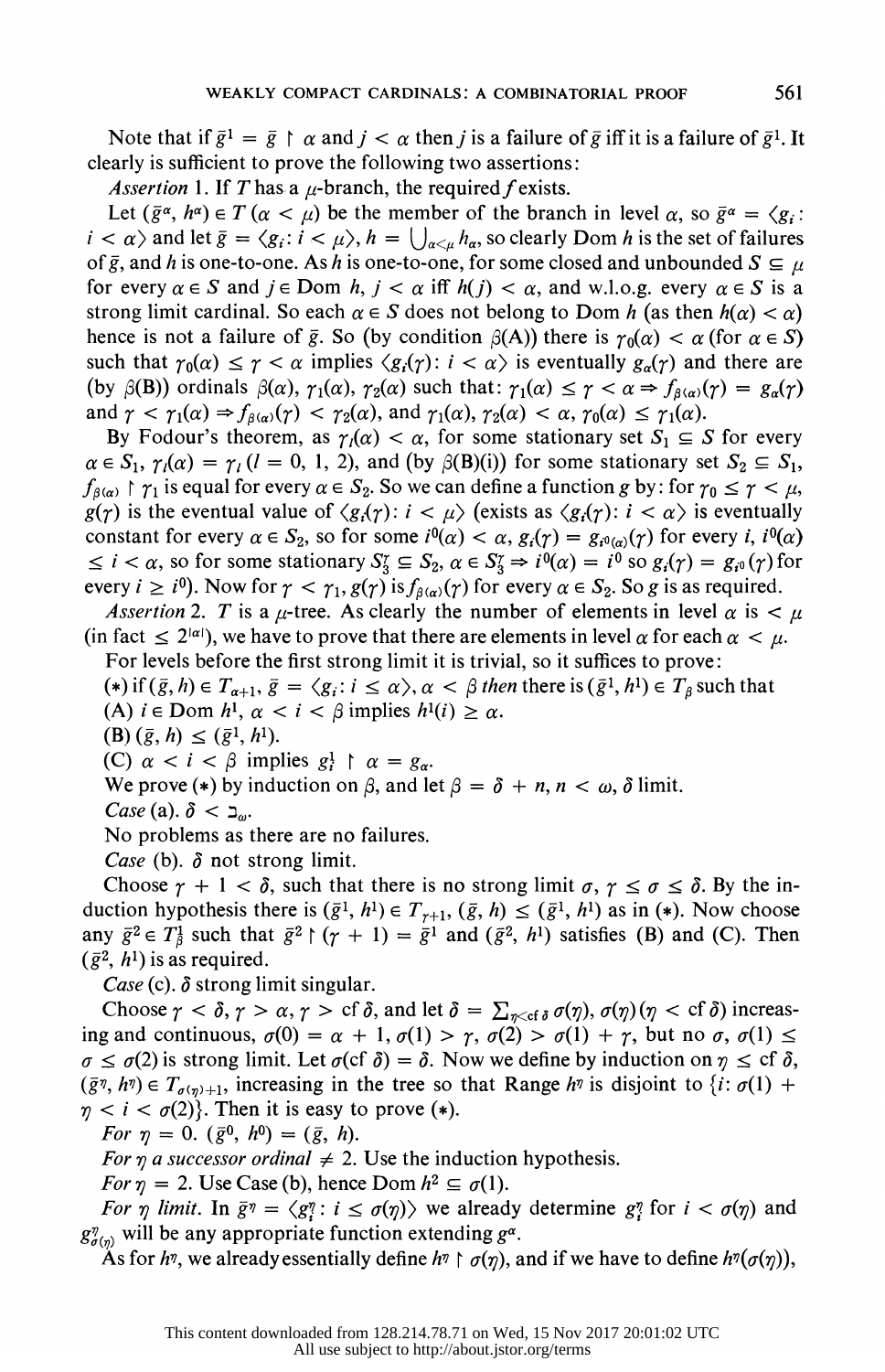Note that if  $\bar{g}^1 = \bar{g} \restriction \alpha$  and  $j < \alpha$  then j is a failure of  $\bar{g}$  iff it is a failure of  $\bar{g}^1$ . It clearly is sufficient to prove the following two assertions:

Assertion 1. If T has a  $\mu$ -branch, the required f exists.

Let  $(\bar{g}^{\alpha}, h^{\alpha}) \in T (\alpha < \mu)$  be the member of the branch in level  $\alpha$ , so  $\bar{g}^{\alpha} = \langle g_i :$  $i < \alpha$  and let  $\bar{g} = \langle g_i : i < \mu \rangle$ ,  $h = \bigcup_{\alpha < \mu} h_\alpha$ , so clearly Dom h is the set of failures of  $\bar{g}$ , and h is one-to-one. As h is one-to-one, for some closed and unbounded  $S \subseteq \mu$ for every  $\alpha \in S$  and  $j \in$  Dom h,  $j < \alpha$  iff  $h(j) < \alpha$ , and w.l.o.g. every  $\alpha \in S$  is a strong limit cardinal. So each  $\alpha \in S$  does not belong to Dom h (as then  $h(\alpha) < \alpha$ ) hence is not a failure of  $\bar{g}$ . So (by condition  $\beta(A)$ ) there is  $\gamma_0(\alpha) < \alpha$  (for  $\alpha \in S$ ) such that  $\gamma_0(\alpha) \leq \gamma < \alpha$  implies  $\langle g_i(\gamma) : i < \alpha \rangle$  is eventually  $g_\alpha(\gamma)$  and there are (by  $\beta(B)$ ) ordinals  $\beta(\alpha)$ ,  $\gamma_1(\alpha)$ ,  $\gamma_2(\alpha)$  such that:  $\gamma_1(\alpha) \leq \gamma < \alpha \Rightarrow f_{\beta(\alpha)}(\gamma) = g_{\alpha}(\gamma)$ and  $\gamma < \gamma_1(\alpha) \Rightarrow f_{\beta(\alpha)}(\gamma) < \gamma_2(\alpha)$ , and  $\gamma_1(\alpha), \gamma_2(\alpha) < \alpha, \gamma_0(\alpha) \le \gamma_1(\alpha)$ .

By Fodour's theorem, as  $\gamma_i(\alpha) < \alpha$ , for some stationary set  $S_1 \subseteq S$  for every  $\alpha \in S_1$ ,  $\gamma_i(\alpha) = \gamma_i$  ( $i = 0, 1, 2$ ), and (by  $\beta(B)(i)$ ) for some stationary set  $S_2 \subseteq S_1$ ,  $f_{\beta(\alpha)} \restriction \gamma_1$  is equal for every  $\alpha \in S_2$ . So we can define a function g by: for  $\gamma_0 \leq \gamma < \mu$ ,  $g(\gamma)$  is the eventual value of  $\langle g_i(\gamma): i \langle \mu \rangle$  (exists as  $\langle g_i(\gamma): i \langle \alpha \rangle$  is eventually constant for every  $\alpha \in S_2$ , so for some  $i^0(\alpha) < \alpha$ ,  $g_i(\gamma) = g_{i^0(\alpha)}(\gamma)$  for every i,  $i^0(\alpha)$  $\leq i < \alpha$ , so for some stationary  $S_3^r \subseteq S_2$ ,  $\alpha \in S_3^r \Rightarrow i^0(\alpha) = i^0$  so  $g_i(\gamma) = g_{i^0}(\gamma)$  for every  $i \geq i^0$ ). Now for  $\gamma < \gamma_1$ ,  $g(\gamma)$  is  $f_{\beta(\alpha)}(\gamma)$  for every  $\alpha \in S_2$ . So g is as required.

Assertion 2. T is a  $\mu$ -tree. As clearly the number of elements in level  $\alpha$  is  $\lt \mu$ (in fact  $\leq 2^{|\alpha|}$ ), we have to prove that there are elements in level  $\alpha$  for each  $\alpha < \mu$ . For levels before the first strong limit it is trivial, so it suffices to prove:

(\*) if  $(\bar{g}, h) \in T_{\alpha+1}, \bar{g} = \langle g_i : i \leq \alpha \rangle, \alpha < \beta$  then there is  $(\bar{g}^1, h^1) \in T_\beta$  such that

(A)  $i \in \text{Dom } h^1$ ,  $\alpha < i < \beta$  implies  $h^1(i) \ge \alpha$ .<br>
(B)  $(\bar{g}, h) \le (\bar{g}^1, h^1)$ .

(C)  $\alpha < i < \beta$  implies  $g_i^1 \uparrow \alpha = g_\alpha$ .

We prove (\*) by induction on  $\beta$ , and let  $\beta = \delta + n, n < \omega$ ,  $\delta$  limit.

Case (a).  $\delta < \Delta_{\omega}$ .

No problems as there are no failures.

*Case* (b).  $\delta$  not strong limit.

Choose  $\gamma + 1 < \delta$ , such that there is no strong limit  $\sigma, \gamma \leq \sigma \leq \delta$ . By the induction hypothesis there is  $(\bar{g}^1, h^1) \in T_{r+1}$ ,  $(\bar{g}, h) \leq (\bar{g}^1, h^1)$  as in (\*). Now choose any  $\bar{g}^2 \in T^1_\beta$  such that  $\bar{g}^2 \upharpoonright (\gamma + 1) = \bar{g}^1$  and  $(\bar{g}^2, h^1)$  satisfies (B) and (C). Then  $(\bar{g}^2, h^1)$  is as required.

Case (c).  $\delta$  strong limit singular.

Choose  $\gamma < \delta$ ,  $\gamma > \alpha$ ,  $\gamma > c f \delta$ , and let  $\delta = \sum_{\eta < c f \delta} \sigma(\eta)$ ,  $\sigma(\eta)(\eta < c f \delta)$  increasing and continuous,  $\sigma(0) = \alpha + 1$ ,  $\sigma(1) > \gamma$ ,  $\sigma(2) > \sigma(1) + \gamma$ , but no  $\sigma$ ,  $\sigma(1) \le$  $\sigma \leq \sigma(2)$  is strong limit. Let  $\sigma$ (cf  $\delta$ ) =  $\delta$ . Now we define by induction on  $\eta \leq cf \delta$ ,  $(\bar{g}\eta, h\eta) \in T_{\sigma(\eta)+1}$ , increasing in the tree so that Range  $h\eta$  is disjoint to  $\{i: \sigma(1) +$  $\eta < i < \sigma(2)$ . Then it is easy to prove (\*).

For  $\eta = 0$ .  $(\bar{g}^0, h^0) = (\bar{g}, h)$ .

For  $\eta$  a successor ordinal  $\neq$  2. Use the induction hypothesis.

For  $\eta = 2$ . Use Case (b), hence Dom  $h^2 \subseteq \sigma(1)$ .

For  $\eta$  limit. In  $\bar{g}\eta = \langle g_i^{\eta} : i \le \sigma(\eta) \rangle$  we already determine  $g_i^{\eta}$  for  $i < \sigma(\eta)$  and  $g_{\sigma(\eta)}^{\eta}$  will be any appropriate function extending  $g^{\alpha}$ .

As for h<sup>n</sup>, we already essentially define h<sup>n</sup>  $\uparrow \sigma(\eta)$ , and if we have to define h<sup>n</sup>( $\sigma(\eta)$ ),